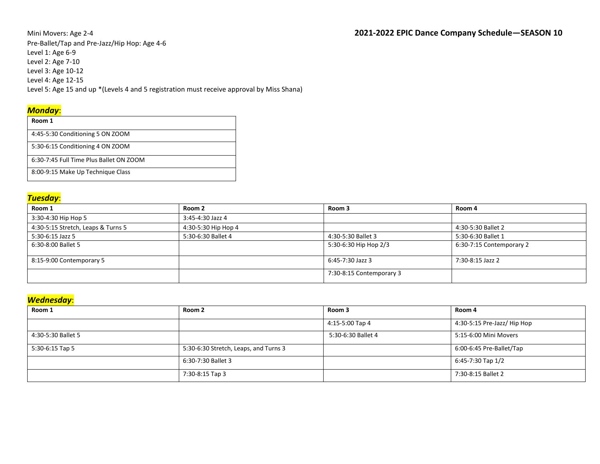Pre-Ballet/Tap and Pre-Jazz/Hip Hop: Age 4-6 Level 1: Age 6-9 Level 2: Age 7-10 Level 3: Age 10-12 Level 4: Age 12-15 Level 5: Age 15 and up \*(Levels 4 and 5 registration must receive approval by Miss Shana)

### *Monday*:

| Room 1                                  |
|-----------------------------------------|
| 4:45-5:30 Conditioning 5 ON ZOOM        |
| 5:30-6:15 Conditioning 4 ON ZOOM        |
| 6:30-7:45 Full Time Plus Ballet ON ZOOM |
| 8:00-9:15 Make Up Technique Class       |

#### *Tuesday*:

| Room 1                             | Room 2              | Room 3                   | Room 4                   |
|------------------------------------|---------------------|--------------------------|--------------------------|
| 3:30-4:30 Hip Hop 5                | 3:45-4:30 Jazz 4    |                          |                          |
| 4:30-5:15 Stretch, Leaps & Turns 5 | 4:30-5:30 Hip Hop 4 |                          | 4:30-5:30 Ballet 2       |
| 5:30-6:15 Jazz 5                   | 5:30-6:30 Ballet 4  | 4:30-5:30 Ballet 3       | 5:30-6:30 Ballet 1       |
| 6:30-8:00 Ballet 5                 |                     | 5:30-6:30 Hip Hop 2/3    | 6:30-7:15 Contemporary 2 |
| 8:15-9:00 Contemporary 5           |                     | 6:45-7:30 Jazz 3         | 7:30-8:15 Jazz 2         |
|                                    |                     | 7:30-8:15 Contemporary 3 |                          |

### *Wednesday*:

| Room 1             | Room 2                                | Room 3             | Room 4                      |
|--------------------|---------------------------------------|--------------------|-----------------------------|
|                    |                                       | 4:15-5:00 Tap 4    | 4:30-5:15 Pre-Jazz/ Hip Hop |
| 4:30-5:30 Ballet 5 |                                       | 5:30-6:30 Ballet 4 | 5:15-6:00 Mini Movers       |
| 5:30-6:15 Tap 5    | 5:30-6:30 Stretch, Leaps, and Turns 3 |                    | 6:00-6:45 Pre-Ballet/Tap    |
|                    | 6:30-7:30 Ballet 3                    |                    | 6:45-7:30 Tap 1/2           |
|                    | 7:30-8:15 Tap 3                       |                    | 7:30-8:15 Ballet 2          |